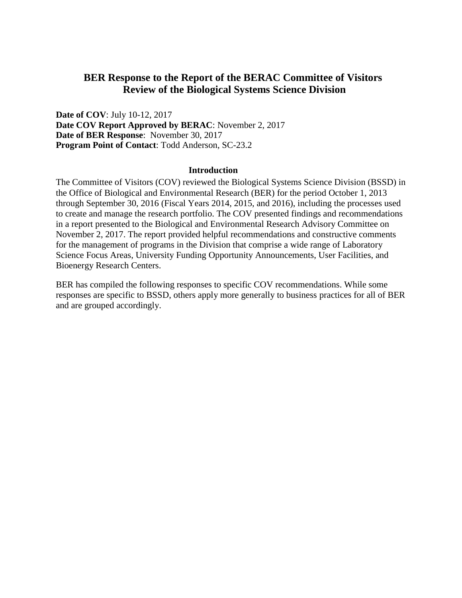## **BER Response to the Report of the BERAC Committee of Visitors Review of the Biological Systems Science Division**

**Date of COV**: July 10-12, 2017 **Date COV Report Approved by BERAC**: November 2, 2017 **Date of BER Response**: November 30, 2017 **Program Point of Contact**: Todd Anderson, SC-23.2

## **Introduction**

The Committee of Visitors (COV) reviewed the Biological Systems Science Division (BSSD) in the Office of Biological and Environmental Research (BER) for the period October 1, 2013 through September 30, 2016 (Fiscal Years 2014, 2015, and 2016), including the processes used to create and manage the research portfolio. The COV presented findings and recommendations in a report presented to the Biological and Environmental Research Advisory Committee on November 2, 2017. The report provided helpful recommendations and constructive comments for the management of programs in the Division that comprise a wide range of Laboratory Science Focus Areas, University Funding Opportunity Announcements, User Facilities, and Bioenergy Research Centers.

BER has compiled the following responses to specific COV recommendations. While some responses are specific to BSSD, others apply more generally to business practices for all of BER and are grouped accordingly.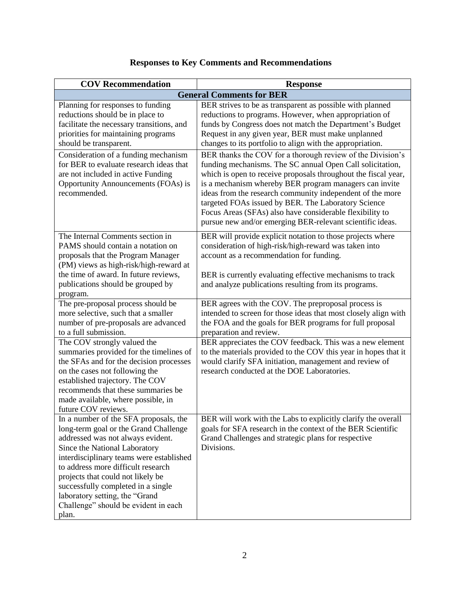| <b>COV Recommendation</b>                                                                                                                                                                                                                                                                                                                                                                                                               | <b>Response</b>                                                                                                                                                                                                                                                                                                                                                                                                                                                                                                                                                                                                                                                                                                                                                                                        |  |
|-----------------------------------------------------------------------------------------------------------------------------------------------------------------------------------------------------------------------------------------------------------------------------------------------------------------------------------------------------------------------------------------------------------------------------------------|--------------------------------------------------------------------------------------------------------------------------------------------------------------------------------------------------------------------------------------------------------------------------------------------------------------------------------------------------------------------------------------------------------------------------------------------------------------------------------------------------------------------------------------------------------------------------------------------------------------------------------------------------------------------------------------------------------------------------------------------------------------------------------------------------------|--|
| <b>General Comments for BER</b>                                                                                                                                                                                                                                                                                                                                                                                                         |                                                                                                                                                                                                                                                                                                                                                                                                                                                                                                                                                                                                                                                                                                                                                                                                        |  |
| Planning for responses to funding<br>reductions should be in place to<br>facilitate the necessary transitions, and<br>priorities for maintaining programs<br>should be transparent.<br>Consideration of a funding mechanism<br>for BER to evaluate research ideas that<br>are not included in active Funding<br>Opportunity Announcements (FOAs) is<br>recommended.                                                                     | BER strives to be as transparent as possible with planned<br>reductions to programs. However, when appropriation of<br>funds by Congress does not match the Department's Budget<br>Request in any given year, BER must make unplanned<br>changes to its portfolio to align with the appropriation.<br>BER thanks the COV for a thorough review of the Division's<br>funding mechanisms. The SC annual Open Call solicitation,<br>which is open to receive proposals throughout the fiscal year,<br>is a mechanism whereby BER program managers can invite<br>ideas from the research community independent of the more<br>targeted FOAs issued by BER. The Laboratory Science<br>Focus Areas (SFAs) also have considerable flexibility to<br>pursue new and/or emerging BER-relevant scientific ideas. |  |
| The Internal Comments section in<br>PAMS should contain a notation on<br>proposals that the Program Manager<br>(PM) views as high-risk/high-reward at<br>the time of award. In future reviews,<br>publications should be grouped by<br>program.                                                                                                                                                                                         | BER will provide explicit notation to those projects where<br>consideration of high-risk/high-reward was taken into<br>account as a recommendation for funding.<br>BER is currently evaluating effective mechanisms to track<br>and analyze publications resulting from its programs.                                                                                                                                                                                                                                                                                                                                                                                                                                                                                                                  |  |
| The pre-proposal process should be<br>more selective, such that a smaller<br>number of pre-proposals are advanced<br>to a full submission.<br>The COV strongly valued the<br>summaries provided for the timelines of<br>the SFAs and for the decision processes<br>on the cases not following the<br>established trajectory. The COV<br>recommends that these summaries be<br>made available, where possible, in<br>future COV reviews. | BER agrees with the COV. The preproposal process is<br>intended to screen for those ideas that most closely align with<br>the FOA and the goals for BER programs for full proposal<br>preparation and review.<br>BER appreciates the COV feedback. This was a new element<br>to the materials provided to the COV this year in hopes that it<br>would clarify SFA initiation, management and review of<br>research conducted at the DOE Laboratories.                                                                                                                                                                                                                                                                                                                                                  |  |
| In a number of the SFA proposals, the<br>long-term goal or the Grand Challenge<br>addressed was not always evident.<br>Since the National Laboratory<br>interdisciplinary teams were established<br>to address more difficult research<br>projects that could not likely be<br>successfully completed in a single<br>laboratory setting, the "Grand<br>Challenge" should be evident in each<br>plan.                                    | BER will work with the Labs to explicitly clarify the overall<br>goals for SFA research in the context of the BER Scientific<br>Grand Challenges and strategic plans for respective<br>Divisions.                                                                                                                                                                                                                                                                                                                                                                                                                                                                                                                                                                                                      |  |

## **Responses to Key Comments and Recommendations**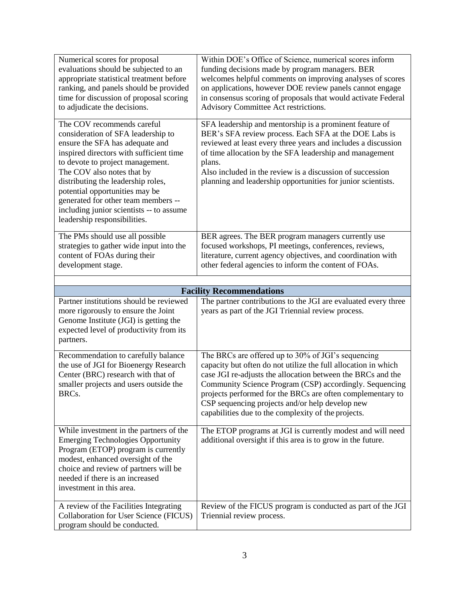| Numerical scores for proposal<br>evaluations should be subjected to an<br>appropriate statistical treatment before<br>ranking, and panels should be provided<br>time for discussion of proposal scoring<br>to adjudicate the decisions.                                                                                                                                                                     | Within DOE's Office of Science, numerical scores inform<br>funding decisions made by program managers. BER<br>welcomes helpful comments on improving analyses of scores<br>on applications, however DOE review panels cannot engage<br>in consensus scoring of proposals that would activate Federal<br>Advisory Committee Act restrictions.                                                                           |  |
|-------------------------------------------------------------------------------------------------------------------------------------------------------------------------------------------------------------------------------------------------------------------------------------------------------------------------------------------------------------------------------------------------------------|------------------------------------------------------------------------------------------------------------------------------------------------------------------------------------------------------------------------------------------------------------------------------------------------------------------------------------------------------------------------------------------------------------------------|--|
| The COV recommends careful<br>consideration of SFA leadership to<br>ensure the SFA has adequate and<br>inspired directors with sufficient time<br>to devote to project management.<br>The COV also notes that by<br>distributing the leadership roles,<br>potential opportunities may be<br>generated for other team members --<br>including junior scientists -- to assume<br>leadership responsibilities. | SFA leadership and mentorship is a prominent feature of<br>BER's SFA review process. Each SFA at the DOE Labs is<br>reviewed at least every three years and includes a discussion<br>of time allocation by the SFA leadership and management<br>plans.<br>Also included in the review is a discussion of succession<br>planning and leadership opportunities for junior scientists.                                    |  |
| The PMs should use all possible<br>strategies to gather wide input into the<br>content of FOAs during their<br>development stage.                                                                                                                                                                                                                                                                           | BER agrees. The BER program managers currently use<br>focused workshops, PI meetings, conferences, reviews,<br>literature, current agency objectives, and coordination with<br>other federal agencies to inform the content of FOAs.                                                                                                                                                                                   |  |
| <b>Facility Recommendations</b>                                                                                                                                                                                                                                                                                                                                                                             |                                                                                                                                                                                                                                                                                                                                                                                                                        |  |
| Partner institutions should be reviewed<br>more rigorously to ensure the Joint<br>Genome Institute (JGI) is getting the<br>expected level of productivity from its<br>partners.                                                                                                                                                                                                                             | The partner contributions to the JGI are evaluated every three<br>years as part of the JGI Triennial review process.                                                                                                                                                                                                                                                                                                   |  |
| Recommendation to carefully balance<br>the use of JGI for Bioenergy Research<br>Center (BRC) research with that of<br>smaller projects and users outside the<br>BRCs.                                                                                                                                                                                                                                       | The BRCs are offered up to 30% of JGI's sequencing<br>capacity but often do not utilize the full allocation in which<br>case JGI re-adjusts the allocation between the BRCs and the<br>Community Science Program (CSP) accordingly. Sequencing<br>projects performed for the BRCs are often complementary to<br>CSP sequencing projects and/or help develop new<br>capabilities due to the complexity of the projects. |  |
| While investment in the partners of the<br><b>Emerging Technologies Opportunity</b><br>Program (ETOP) program is currently<br>modest, enhanced oversight of the<br>choice and review of partners will be<br>needed if there is an increased<br>investment in this area.                                                                                                                                     | The ETOP programs at JGI is currently modest and will need<br>additional oversight if this area is to grow in the future.                                                                                                                                                                                                                                                                                              |  |
| A review of the Facilities Integrating<br>Collaboration for User Science (FICUS)<br>program should be conducted.                                                                                                                                                                                                                                                                                            | Review of the FICUS program is conducted as part of the JGI<br>Triennial review process.                                                                                                                                                                                                                                                                                                                               |  |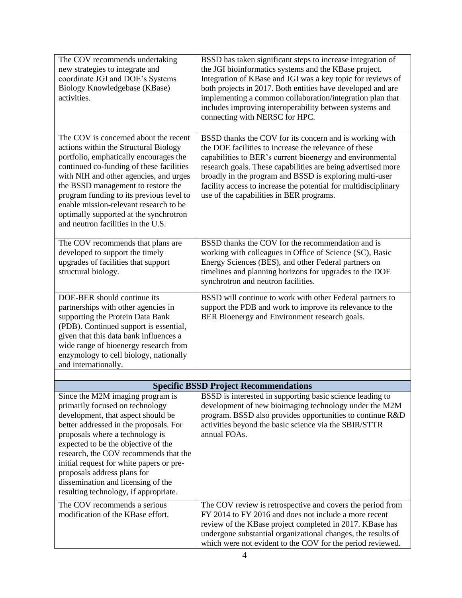| The COV recommends undertaking<br>new strategies to integrate and<br>coordinate JGI and DOE's Systems<br>Biology Knowledgebase (KBase)<br>activities.                                                                                                                                                                                                                                                                            | BSSD has taken significant steps to increase integration of<br>the JGI bioinformatics systems and the KBase project.<br>Integration of KBase and JGI was a key topic for reviews of<br>both projects in 2017. Both entities have developed and are<br>implementing a common collaboration/integration plan that<br>includes improving interoperability between systems and<br>connecting with NERSC for HPC.            |
|----------------------------------------------------------------------------------------------------------------------------------------------------------------------------------------------------------------------------------------------------------------------------------------------------------------------------------------------------------------------------------------------------------------------------------|-------------------------------------------------------------------------------------------------------------------------------------------------------------------------------------------------------------------------------------------------------------------------------------------------------------------------------------------------------------------------------------------------------------------------|
| The COV is concerned about the recent<br>actions within the Structural Biology<br>portfolio, emphatically encourages the<br>continued co-funding of these facilities<br>with NIH and other agencies, and urges<br>the BSSD management to restore the<br>program funding to its previous level to<br>enable mission-relevant research to be<br>optimally supported at the synchrotron<br>and neutron facilities in the U.S.       | BSSD thanks the COV for its concern and is working with<br>the DOE facilities to increase the relevance of these<br>capabilities to BER's current bioenergy and environmental<br>research goals. These capabilities are being advertised more<br>broadly in the program and BSSD is exploring multi-user<br>facility access to increase the potential for multidisciplinary<br>use of the capabilities in BER programs. |
| The COV recommends that plans are<br>developed to support the timely<br>upgrades of facilities that support<br>structural biology.                                                                                                                                                                                                                                                                                               | BSSD thanks the COV for the recommendation and is<br>working with colleagues in Office of Science (SC), Basic<br>Energy Sciences (BES), and other Federal partners on<br>timelines and planning horizons for upgrades to the DOE<br>synchrotron and neutron facilities.                                                                                                                                                 |
| DOE-BER should continue its<br>partnerships with other agencies in<br>supporting the Protein Data Bank<br>(PDB). Continued support is essential,<br>given that this data bank influences a<br>wide range of bioenergy research from<br>enzymology to cell biology, nationally<br>and internationally.                                                                                                                            | BSSD will continue to work with other Federal partners to<br>support the PDB and work to improve its relevance to the<br>BER Bioenergy and Environment research goals.                                                                                                                                                                                                                                                  |
|                                                                                                                                                                                                                                                                                                                                                                                                                                  |                                                                                                                                                                                                                                                                                                                                                                                                                         |
|                                                                                                                                                                                                                                                                                                                                                                                                                                  | <b>Specific BSSD Project Recommendations</b>                                                                                                                                                                                                                                                                                                                                                                            |
| Since the M2M imaging program is<br>primarily focused on technology<br>development, that aspect should be<br>better addressed in the proposals. For<br>proposals where a technology is<br>expected to be the objective of the<br>research, the COV recommends that the<br>initial request for white papers or pre-<br>proposals address plans for<br>dissemination and licensing of the<br>resulting technology, if appropriate. | BSSD is interested in supporting basic science leading to<br>development of new bioimaging technology under the M2M<br>program. BSSD also provides opportunities to continue R&D<br>activities beyond the basic science via the SBIR/STTR<br>annual FOAs.                                                                                                                                                               |
| The COV recommends a serious<br>modification of the KBase effort.                                                                                                                                                                                                                                                                                                                                                                | The COV review is retrospective and covers the period from<br>FY 2014 to FY 2016 and does not include a more recent<br>review of the KBase project completed in 2017. KBase has<br>undergone substantial organizational changes, the results of<br>which were not evident to the COV for the period reviewed.                                                                                                           |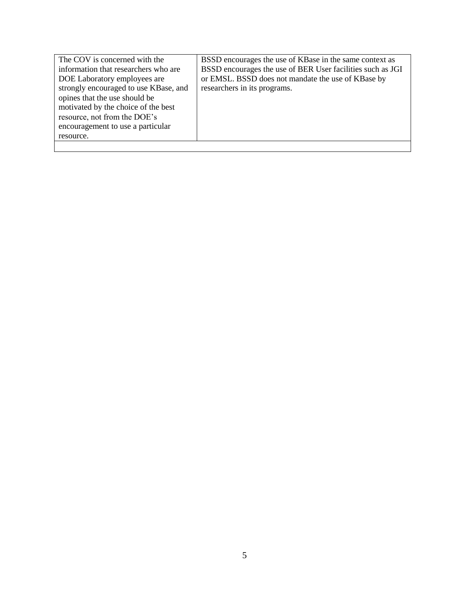| The COV is concerned with the         | BSSD encourages the use of KBase in the same context as    |
|---------------------------------------|------------------------------------------------------------|
| information that researchers who are  | BSSD encourages the use of BER User facilities such as JGI |
| DOE Laboratory employees are          | or EMSL. BSSD does not mandate the use of KBase by         |
| strongly encouraged to use KBase, and | researchers in its programs.                               |
| opines that the use should be         |                                                            |
| motivated by the choice of the best   |                                                            |
| resource, not from the DOE's          |                                                            |
| encouragement to use a particular     |                                                            |
| resource.                             |                                                            |
|                                       |                                                            |